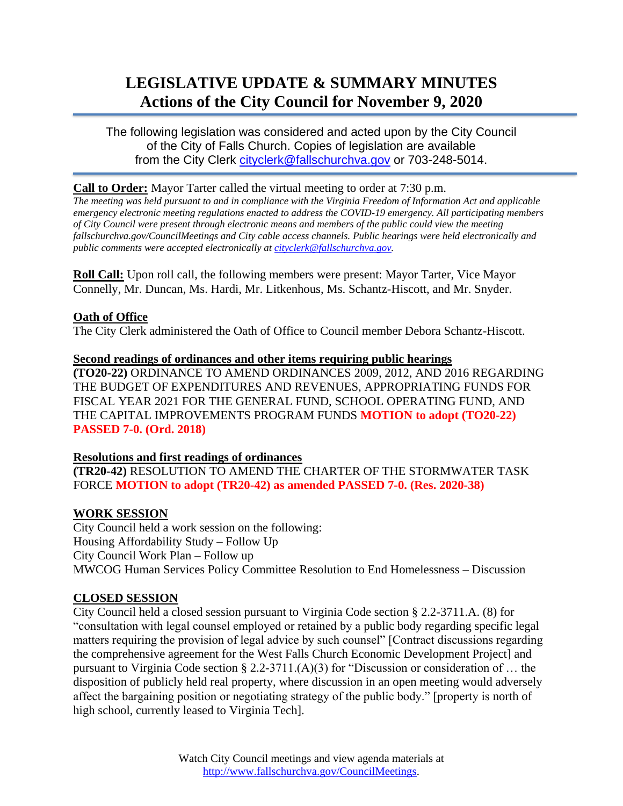# **LEGISLATIVE UPDATE & SUMMARY MINUTES Actions of the City Council for November 9, 2020**

The following legislation was considered and acted upon by the City Council of the City of Falls Church. Copies of legislation are available from the City Clerk [cityclerk@fallschurchva.gov](mailto:cityclerk@fallschurchva.gov) or 703-248-5014.

## **Call to Order:** Mayor Tarter called the virtual meeting to order at 7:30 p.m.

*The meeting was held pursuant to and in compliance with the Virginia Freedom of Information Act and applicable emergency electronic meeting regulations enacted to address the COVID-19 emergency. All participating members of City Council were present through electronic means and members of the public could view the meeting fallschurchva.gov/CouncilMeetings and City cable access channels. Public hearings were held electronically and public comments were accepted electronically a[t cityclerk@fallschurchva.gov.](mailto:cityclerk@fallschurchva.gov)*

**Roll Call:** Upon roll call, the following members were present: Mayor Tarter, Vice Mayor Connelly, Mr. Duncan, Ms. Hardi, Mr. Litkenhous, Ms. Schantz-Hiscott, and Mr. Snyder.

## **Oath of Office**

The City Clerk administered the Oath of Office to Council member Debora Schantz-Hiscott.

**Second readings of ordinances and other items requiring public hearings (TO20-22)** ORDINANCE TO AMEND ORDINANCES 2009, 2012, AND 2016 REGARDING THE BUDGET OF EXPENDITURES AND REVENUES, APPROPRIATING FUNDS FOR FISCAL YEAR 2021 FOR THE GENERAL FUND, SCHOOL OPERATING FUND, AND THE CAPITAL IMPROVEMENTS PROGRAM FUNDS **MOTION to adopt (TO20-22) PASSED 7-0. (Ord. 2018)**

#### **Resolutions and first readings of ordinances**

**(TR20-42)** RESOLUTION TO AMEND THE CHARTER OF THE STORMWATER TASK FORCE **MOTION to adopt (TR20-42) as amended PASSED 7-0. (Res. 2020-38)**

## **WORK SESSION**

City Council held a work session on the following: Housing Affordability Study – Follow Up City Council Work Plan – Follow up MWCOG Human Services Policy Committee Resolution to End Homelessness – Discussion

## **CLOSED SESSION**

City Council held a closed session pursuant to Virginia Code section § 2.2-3711.A. (8) for "consultation with legal counsel employed or retained by a public body regarding specific legal matters requiring the provision of legal advice by such counsel" [Contract discussions regarding the comprehensive agreement for the West Falls Church Economic Development Project] and pursuant to Virginia Code section § 2.2-3711.(A)(3) for "Discussion or consideration of … the disposition of publicly held real property, where discussion in an open meeting would adversely affect the bargaining position or negotiating strategy of the public body." [property is north of high school, currently leased to Virginia Tech].